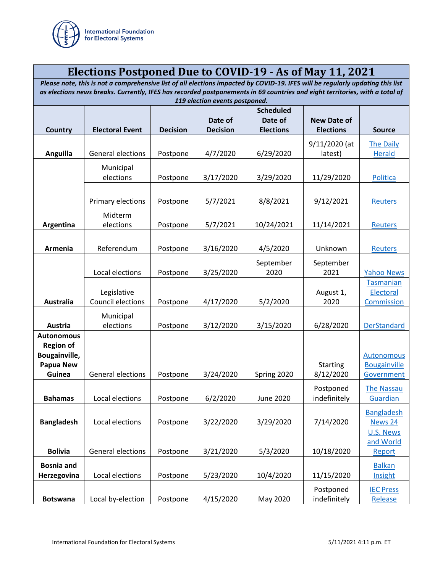

## **Elections Postponed Due to COVID-19 - As of May 11, 2021**

*Please note, this is not a comprehensive list of all elections impacted by COVID-19. IFES will be regularly updating this list as elections news breaks. Currently, IFES has recorded postponements in 69 countries and eight territories, with a total of*  .<br>*10 electi* 

|                   |                                                                                                                                                                                                                                                                                   | 113 election events postponed.                                                                                                          |                                                                                                                                                          |                                                                                                                                                                                                   |                                                                                                                                                                                                                                                       |  |  |  |  |
|-------------------|-----------------------------------------------------------------------------------------------------------------------------------------------------------------------------------------------------------------------------------------------------------------------------------|-----------------------------------------------------------------------------------------------------------------------------------------|----------------------------------------------------------------------------------------------------------------------------------------------------------|---------------------------------------------------------------------------------------------------------------------------------------------------------------------------------------------------|-------------------------------------------------------------------------------------------------------------------------------------------------------------------------------------------------------------------------------------------------------|--|--|--|--|
|                   |                                                                                                                                                                                                                                                                                   |                                                                                                                                         |                                                                                                                                                          |                                                                                                                                                                                                   |                                                                                                                                                                                                                                                       |  |  |  |  |
|                   |                                                                                                                                                                                                                                                                                   |                                                                                                                                         |                                                                                                                                                          |                                                                                                                                                                                                   |                                                                                                                                                                                                                                                       |  |  |  |  |
|                   |                                                                                                                                                                                                                                                                                   |                                                                                                                                         |                                                                                                                                                          |                                                                                                                                                                                                   | <b>Source</b>                                                                                                                                                                                                                                         |  |  |  |  |
|                   |                                                                                                                                                                                                                                                                                   |                                                                                                                                         |                                                                                                                                                          |                                                                                                                                                                                                   |                                                                                                                                                                                                                                                       |  |  |  |  |
|                   |                                                                                                                                                                                                                                                                                   |                                                                                                                                         |                                                                                                                                                          |                                                                                                                                                                                                   | <b>The Daily</b>                                                                                                                                                                                                                                      |  |  |  |  |
|                   |                                                                                                                                                                                                                                                                                   |                                                                                                                                         |                                                                                                                                                          |                                                                                                                                                                                                   | <b>Herald</b>                                                                                                                                                                                                                                         |  |  |  |  |
|                   |                                                                                                                                                                                                                                                                                   |                                                                                                                                         |                                                                                                                                                          |                                                                                                                                                                                                   |                                                                                                                                                                                                                                                       |  |  |  |  |
|                   |                                                                                                                                                                                                                                                                                   |                                                                                                                                         |                                                                                                                                                          |                                                                                                                                                                                                   |                                                                                                                                                                                                                                                       |  |  |  |  |
| elections         | Postpone                                                                                                                                                                                                                                                                          | 3/17/2020                                                                                                                               | 3/29/2020                                                                                                                                                | 11/29/2020                                                                                                                                                                                        | Politica                                                                                                                                                                                                                                              |  |  |  |  |
|                   |                                                                                                                                                                                                                                                                                   |                                                                                                                                         |                                                                                                                                                          |                                                                                                                                                                                                   |                                                                                                                                                                                                                                                       |  |  |  |  |
|                   |                                                                                                                                                                                                                                                                                   |                                                                                                                                         |                                                                                                                                                          |                                                                                                                                                                                                   |                                                                                                                                                                                                                                                       |  |  |  |  |
|                   |                                                                                                                                                                                                                                                                                   |                                                                                                                                         |                                                                                                                                                          |                                                                                                                                                                                                   | <b>Reuters</b>                                                                                                                                                                                                                                        |  |  |  |  |
|                   |                                                                                                                                                                                                                                                                                   |                                                                                                                                         |                                                                                                                                                          |                                                                                                                                                                                                   |                                                                                                                                                                                                                                                       |  |  |  |  |
|                   |                                                                                                                                                                                                                                                                                   |                                                                                                                                         |                                                                                                                                                          |                                                                                                                                                                                                   | <b>Reuters</b>                                                                                                                                                                                                                                        |  |  |  |  |
|                   |                                                                                                                                                                                                                                                                                   |                                                                                                                                         |                                                                                                                                                          |                                                                                                                                                                                                   |                                                                                                                                                                                                                                                       |  |  |  |  |
|                   |                                                                                                                                                                                                                                                                                   |                                                                                                                                         |                                                                                                                                                          |                                                                                                                                                                                                   |                                                                                                                                                                                                                                                       |  |  |  |  |
| Referendum        | Postpone                                                                                                                                                                                                                                                                          | 3/16/2020                                                                                                                               | 4/5/2020                                                                                                                                                 | Unknown                                                                                                                                                                                           | Reuters                                                                                                                                                                                                                                               |  |  |  |  |
|                   |                                                                                                                                                                                                                                                                                   |                                                                                                                                         |                                                                                                                                                          |                                                                                                                                                                                                   |                                                                                                                                                                                                                                                       |  |  |  |  |
|                   |                                                                                                                                                                                                                                                                                   |                                                                                                                                         |                                                                                                                                                          |                                                                                                                                                                                                   |                                                                                                                                                                                                                                                       |  |  |  |  |
|                   |                                                                                                                                                                                                                                                                                   |                                                                                                                                         |                                                                                                                                                          |                                                                                                                                                                                                   | <b>Yahoo News</b>                                                                                                                                                                                                                                     |  |  |  |  |
|                   |                                                                                                                                                                                                                                                                                   |                                                                                                                                         |                                                                                                                                                          |                                                                                                                                                                                                   | Tasmanian                                                                                                                                                                                                                                             |  |  |  |  |
| Legislative       |                                                                                                                                                                                                                                                                                   |                                                                                                                                         |                                                                                                                                                          | August 1,                                                                                                                                                                                         | Electoral                                                                                                                                                                                                                                             |  |  |  |  |
| Council elections | Postpone                                                                                                                                                                                                                                                                          | 4/17/2020                                                                                                                               | 5/2/2020                                                                                                                                                 | 2020                                                                                                                                                                                              | Commission                                                                                                                                                                                                                                            |  |  |  |  |
|                   |                                                                                                                                                                                                                                                                                   |                                                                                                                                         |                                                                                                                                                          |                                                                                                                                                                                                   |                                                                                                                                                                                                                                                       |  |  |  |  |
|                   |                                                                                                                                                                                                                                                                                   |                                                                                                                                         |                                                                                                                                                          |                                                                                                                                                                                                   |                                                                                                                                                                                                                                                       |  |  |  |  |
|                   |                                                                                                                                                                                                                                                                                   |                                                                                                                                         |                                                                                                                                                          |                                                                                                                                                                                                   | <b>DerStandard</b>                                                                                                                                                                                                                                    |  |  |  |  |
|                   |                                                                                                                                                                                                                                                                                   |                                                                                                                                         |                                                                                                                                                          |                                                                                                                                                                                                   |                                                                                                                                                                                                                                                       |  |  |  |  |
|                   |                                                                                                                                                                                                                                                                                   |                                                                                                                                         |                                                                                                                                                          |                                                                                                                                                                                                   |                                                                                                                                                                                                                                                       |  |  |  |  |
|                   |                                                                                                                                                                                                                                                                                   |                                                                                                                                         |                                                                                                                                                          |                                                                                                                                                                                                   | <b>Autonomous</b>                                                                                                                                                                                                                                     |  |  |  |  |
|                   |                                                                                                                                                                                                                                                                                   |                                                                                                                                         |                                                                                                                                                          |                                                                                                                                                                                                   | <b>Bougainville</b>                                                                                                                                                                                                                                   |  |  |  |  |
|                   |                                                                                                                                                                                                                                                                                   |                                                                                                                                         |                                                                                                                                                          |                                                                                                                                                                                                   | Government                                                                                                                                                                                                                                            |  |  |  |  |
|                   |                                                                                                                                                                                                                                                                                   |                                                                                                                                         |                                                                                                                                                          |                                                                                                                                                                                                   |                                                                                                                                                                                                                                                       |  |  |  |  |
|                   |                                                                                                                                                                                                                                                                                   |                                                                                                                                         |                                                                                                                                                          |                                                                                                                                                                                                   | <b>The Nassau</b>                                                                                                                                                                                                                                     |  |  |  |  |
|                   | Postpone                                                                                                                                                                                                                                                                          |                                                                                                                                         |                                                                                                                                                          |                                                                                                                                                                                                   | Guardian                                                                                                                                                                                                                                              |  |  |  |  |
|                   |                                                                                                                                                                                                                                                                                   |                                                                                                                                         |                                                                                                                                                          |                                                                                                                                                                                                   | <b>Bangladesh</b>                                                                                                                                                                                                                                     |  |  |  |  |
|                   |                                                                                                                                                                                                                                                                                   |                                                                                                                                         |                                                                                                                                                          |                                                                                                                                                                                                   |                                                                                                                                                                                                                                                       |  |  |  |  |
|                   |                                                                                                                                                                                                                                                                                   |                                                                                                                                         |                                                                                                                                                          |                                                                                                                                                                                                   | News 24                                                                                                                                                                                                                                               |  |  |  |  |
|                   |                                                                                                                                                                                                                                                                                   |                                                                                                                                         |                                                                                                                                                          |                                                                                                                                                                                                   | U.S. News                                                                                                                                                                                                                                             |  |  |  |  |
|                   |                                                                                                                                                                                                                                                                                   |                                                                                                                                         |                                                                                                                                                          |                                                                                                                                                                                                   | and World                                                                                                                                                                                                                                             |  |  |  |  |
|                   |                                                                                                                                                                                                                                                                                   |                                                                                                                                         |                                                                                                                                                          |                                                                                                                                                                                                   | Report                                                                                                                                                                                                                                                |  |  |  |  |
|                   |                                                                                                                                                                                                                                                                                   |                                                                                                                                         |                                                                                                                                                          |                                                                                                                                                                                                   | <b>Balkan</b>                                                                                                                                                                                                                                         |  |  |  |  |
|                   |                                                                                                                                                                                                                                                                                   |                                                                                                                                         |                                                                                                                                                          |                                                                                                                                                                                                   | Insight                                                                                                                                                                                                                                               |  |  |  |  |
|                   |                                                                                                                                                                                                                                                                                   |                                                                                                                                         |                                                                                                                                                          |                                                                                                                                                                                                   |                                                                                                                                                                                                                                                       |  |  |  |  |
|                   |                                                                                                                                                                                                                                                                                   |                                                                                                                                         |                                                                                                                                                          | Postponed                                                                                                                                                                                         | <b>IEC Press</b>                                                                                                                                                                                                                                      |  |  |  |  |
|                   |                                                                                                                                                                                                                                                                                   | 4/15/2020                                                                                                                               | May 2020                                                                                                                                                 |                                                                                                                                                                                                   | Release                                                                                                                                                                                                                                               |  |  |  |  |
|                   | <b>Electoral Event</b><br><b>General elections</b><br>Municipal<br>Primary elections<br>Midterm<br>elections<br>Local elections<br>Municipal<br>elections<br>General elections<br>Local elections<br>Local elections<br>General elections<br>Local elections<br>Local by-election | <b>Decision</b><br>Postpone<br>Postpone<br>Postpone<br>Postpone<br>Postpone<br>Postpone<br>Postpone<br>Postpone<br>Postpone<br>Postpone | Date of<br><b>Decision</b><br>4/7/2020<br>5/7/2021<br>5/7/2021<br>3/25/2020<br>3/12/2020<br>3/24/2020<br>6/2/2020<br>3/22/2020<br>3/21/2020<br>5/23/2020 | <b>Scheduled</b><br>Date of<br><b>Elections</b><br>6/29/2020<br>8/8/2021<br>10/24/2021<br>September<br>2020<br>3/15/2020<br>Spring 2020<br><b>June 2020</b><br>3/29/2020<br>5/3/2020<br>10/4/2020 | <b>New Date of</b><br><b>Elections</b><br>9/11/2020 (at<br>latest)<br>9/12/2021<br>11/14/2021<br>September<br>2021<br>6/28/2020<br><b>Starting</b><br>8/12/2020<br>Postponed<br>indefinitely<br>7/14/2020<br>10/18/2020<br>11/15/2020<br>indefinitely |  |  |  |  |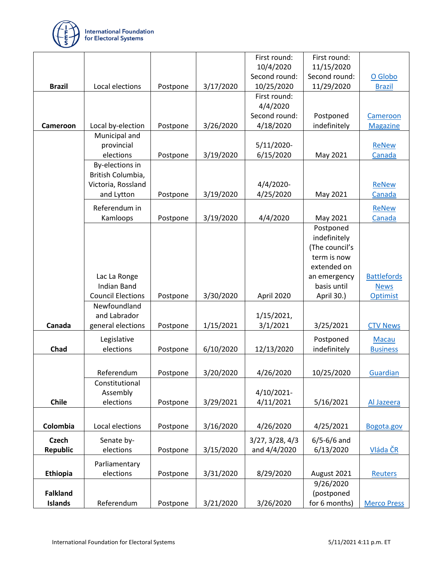

|                 |                          |          |           | First round:    | First round:    |                    |
|-----------------|--------------------------|----------|-----------|-----------------|-----------------|--------------------|
|                 |                          |          |           | 10/4/2020       | 11/15/2020      |                    |
|                 |                          |          |           | Second round:   | Second round:   | O Globo            |
| <b>Brazil</b>   | Local elections          | Postpone | 3/17/2020 | 10/25/2020      | 11/29/2020      | <b>Brazil</b>      |
|                 |                          |          |           | First round:    |                 |                    |
|                 |                          |          |           | 4/4/2020        |                 |                    |
|                 |                          |          |           | Second round:   | Postponed       | Cameroon           |
| Cameroon        | Local by-election        | Postpone | 3/26/2020 | 4/18/2020       | indefinitely    | <b>Magazine</b>    |
|                 | Municipal and            |          |           |                 |                 |                    |
|                 | provincial               |          |           | 5/11/2020-      |                 | ReNew              |
|                 | elections                | Postpone | 3/19/2020 | 6/15/2020       | May 2021        | Canada             |
|                 | By-elections in          |          |           |                 |                 |                    |
|                 | British Columbia,        |          |           |                 |                 |                    |
|                 | Victoria, Rossland       |          |           | $4/4/2020$ -    |                 | ReNew              |
|                 | and Lytton               | Postpone | 3/19/2020 | 4/25/2020       | May 2021        | Canada             |
|                 | Referendum in            |          |           |                 |                 | <b>ReNew</b>       |
|                 | Kamloops                 | Postpone | 3/19/2020 | 4/4/2020        | May 2021        | Canada             |
|                 |                          |          |           |                 | Postponed       |                    |
|                 |                          |          |           |                 | indefinitely    |                    |
|                 |                          |          |           |                 | (The council's  |                    |
|                 |                          |          |           |                 | term is now     |                    |
|                 |                          |          |           |                 | extended on     |                    |
|                 | Lac La Ronge             |          |           |                 | an emergency    | <b>Battlefords</b> |
|                 | <b>Indian Band</b>       |          |           |                 | basis until     | <b>News</b>        |
|                 | <b>Council Elections</b> | Postpone | 3/30/2020 | April 2020      | April 30.)      | Optimist           |
|                 | Newfoundland             |          |           |                 |                 |                    |
|                 | and Labrador             |          |           | 1/15/2021,      |                 |                    |
| Canada          | general elections        | Postpone | 1/15/2021 | 3/1/2021        | 3/25/2021       | <b>CTV News</b>    |
|                 | Legislative              |          |           |                 | Postponed       | Macau              |
| Chad            | elections                | Postpone | 6/10/2020 | 12/13/2020      | indefinitely    | <b>Business</b>    |
|                 |                          |          |           |                 |                 |                    |
|                 |                          |          |           |                 |                 |                    |
|                 | Referendum               | Postpone | 3/20/2020 | 4/26/2020       | 10/25/2020      | Guardian           |
|                 | Constitutional           |          |           |                 |                 |                    |
|                 | Assembly                 |          |           | 4/10/2021-      |                 |                    |
| <b>Chile</b>    | elections                | Postpone | 3/29/2021 | 4/11/2021       | 5/16/2021       | Al Jazeera         |
|                 |                          |          |           |                 |                 |                    |
| Colombia        | Local elections          | Postpone | 3/16/2020 | 4/26/2020       | 4/25/2021       | Bogota.gov         |
| <b>Czech</b>    | Senate by-               |          |           | 3/27, 3/28, 4/3 | $6/5 - 6/6$ and |                    |
| <b>Republic</b> | elections                | Postpone | 3/15/2020 | and 4/4/2020    | 6/13/2020       | Vláda ČR           |
|                 | Parliamentary            |          |           |                 |                 |                    |
| <b>Ethiopia</b> | elections                | Postpone | 3/31/2020 | 8/29/2020       | August 2021     | <b>Reuters</b>     |
|                 |                          |          |           |                 | 9/26/2020       |                    |
| <b>Falkland</b> |                          |          |           |                 | (postponed      |                    |
| <b>Islands</b>  | Referendum               | Postpone | 3/21/2020 | 3/26/2020       | for 6 months)   | <b>Merco Press</b> |
|                 |                          |          |           |                 |                 |                    |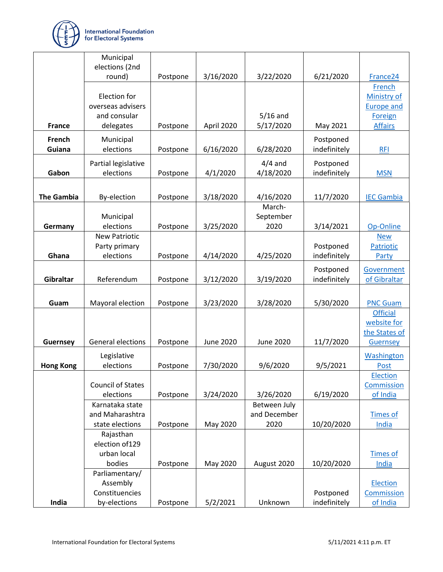

|                   | Municipal                      |          |                  |                  |              |                          |
|-------------------|--------------------------------|----------|------------------|------------------|--------------|--------------------------|
|                   | elections (2nd<br>round)       | Postpone | 3/16/2020        | 3/22/2020        | 6/21/2020    | France <sub>24</sub>     |
|                   |                                |          |                  |                  |              | <b>French</b>            |
|                   | Election for                   |          |                  |                  |              | <b>Ministry of</b>       |
|                   | overseas advisers              |          |                  |                  |              | <b>Europe and</b>        |
|                   | and consular                   |          |                  | $5/16$ and       |              | Foreign                  |
| <b>France</b>     | delegates                      | Postpone | April 2020       | 5/17/2020        | May 2021     | <b>Affairs</b>           |
| French            | Municipal                      |          |                  |                  | Postponed    |                          |
| Guiana            | elections                      | Postpone | 6/16/2020        | 6/28/2020        | indefinitely | <b>RFI</b>               |
|                   | Partial legislative            |          |                  | $4/4$ and        | Postponed    |                          |
| Gabon             | elections                      | Postpone | 4/1/2020         | 4/18/2020        | indefinitely | <b>MSN</b>               |
|                   |                                |          |                  |                  |              |                          |
| <b>The Gambia</b> | By-election                    | Postpone | 3/18/2020        | 4/16/2020        | 11/7/2020    | <b>IEC Gambia</b>        |
|                   |                                |          |                  | March-           |              |                          |
|                   | Municipal                      |          |                  | September        |              |                          |
| Germany           | elections                      | Postpone | 3/25/2020        | 2020             | 3/14/2021    | Op-Online                |
|                   | <b>New Patriotic</b>           |          |                  |                  |              | <b>New</b>               |
|                   | Party primary                  |          |                  |                  | Postponed    | Patriotic                |
| Ghana             | elections                      | Postpone | 4/14/2020        | 4/25/2020        | indefinitely | Party                    |
|                   |                                |          |                  |                  | Postponed    | Government               |
| Gibraltar         | Referendum                     | Postpone | 3/12/2020        | 3/19/2020        | indefinitely | of Gibraltar             |
|                   |                                |          |                  |                  |              |                          |
| Guam              | Mayoral election               | Postpone | 3/23/2020        | 3/28/2020        | 5/30/2020    | <b>PNC Guam</b>          |
|                   |                                |          |                  |                  |              | <b>Official</b>          |
|                   |                                |          |                  |                  |              | website for              |
|                   |                                |          |                  |                  |              | the States of            |
| Guernsey          | General elections              | Postpone | <b>June 2020</b> | <b>June 2020</b> | 11/7/2020    | Guernsey                 |
|                   | Legislative                    |          |                  |                  |              | Washington               |
| <b>Hong Kong</b>  | elections                      | Postpone | 7/30/2020        | 9/6/2020         | 9/5/2021     | <b>Post</b>              |
|                   |                                |          |                  |                  |              | Election                 |
|                   | <b>Council of States</b>       |          |                  |                  |              | <b>Commission</b>        |
|                   | elections                      | Postpone | 3/24/2020        | 3/26/2020        | 6/19/2020    | of India                 |
|                   | Karnataka state                |          |                  | Between July     |              |                          |
|                   | and Maharashtra                |          |                  | and December     |              | <b>Times of</b>          |
|                   | state elections                | Postpone | May 2020         | 2020             | 10/20/2020   | India                    |
|                   | Rajasthan                      |          |                  |                  |              |                          |
|                   | election of 129<br>urban local |          |                  |                  |              |                          |
|                   | bodies                         | Postpone | May 2020         | August 2020      | 10/20/2020   | <b>Times of</b><br>India |
|                   | Parliamentary/                 |          |                  |                  |              |                          |
|                   | Assembly                       |          |                  |                  |              | Election                 |
|                   | Constituencies                 |          |                  |                  | Postponed    | Commission               |
| India             | by-elections                   | Postpone | 5/2/2021         | Unknown          | indefinitely | of India                 |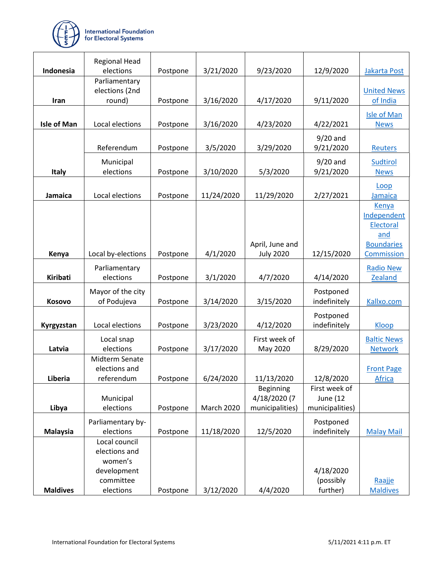

|                    | <b>Regional Head</b>       |          |            |                           |                           |                      |
|--------------------|----------------------------|----------|------------|---------------------------|---------------------------|----------------------|
| Indonesia          | elections                  | Postpone | 3/21/2020  | 9/23/2020                 | 12/9/2020                 | Jakarta Post         |
|                    | Parliamentary              |          |            |                           |                           |                      |
|                    | elections (2nd             |          |            |                           |                           | <b>United News</b>   |
| Iran               | round)                     | Postpone | 3/16/2020  | 4/17/2020                 | 9/11/2020                 | of India             |
|                    |                            |          |            |                           |                           | <b>Isle of Man</b>   |
| <b>Isle of Man</b> | Local elections            | Postpone | 3/16/2020  | 4/23/2020                 | 4/22/2021                 | <b>News</b>          |
|                    |                            |          |            |                           | $9/20$ and                |                      |
|                    | Referendum                 | Postpone | 3/5/2020   | 3/29/2020                 | 9/21/2020                 | <b>Reuters</b>       |
|                    | Municipal                  |          |            |                           | $9/20$ and                | <b>Sudtirol</b>      |
| <b>Italy</b>       | elections                  | Postpone | 3/10/2020  | 5/3/2020                  | 9/21/2020                 | <b>News</b>          |
|                    |                            |          |            |                           |                           |                      |
|                    |                            |          |            |                           |                           | Loop                 |
| <b>Jamaica</b>     | Local elections            | Postpone | 11/24/2020 | 11/29/2020                | 2/27/2021                 | Jamaica              |
|                    |                            |          |            |                           |                           | Kenya<br>Independent |
|                    |                            |          |            |                           |                           | Electoral            |
|                    |                            |          |            |                           |                           | and                  |
|                    |                            |          |            | April, June and           |                           | <b>Boundaries</b>    |
| Kenya              | Local by-elections         | Postpone | 4/1/2020   | <b>July 2020</b>          | 12/15/2020                | Commission           |
|                    | Parliamentary              |          |            |                           |                           | <b>Radio New</b>     |
| <b>Kiribati</b>    | elections                  | Postpone | 3/1/2020   | 4/7/2020                  | 4/14/2020                 | <b>Zealand</b>       |
|                    | Mayor of the city          |          |            |                           | Postponed                 |                      |
| Kosovo             | of Podujeva                | Postpone | 3/14/2020  | 3/15/2020                 | indefinitely              | Kallxo.com           |
|                    |                            |          |            |                           |                           |                      |
|                    |                            |          |            |                           | Postponed                 |                      |
| Kyrgyzstan         | Local elections            | Postpone | 3/23/2020  | 4/12/2020                 | indefinitely              | Kloop                |
|                    | Local snap                 |          |            | First week of             |                           | <b>Baltic News</b>   |
| Latvia             | elections                  | Postpone | 3/17/2020  | May 2020                  | 8/29/2020                 | <b>Network</b>       |
|                    | <b>Midterm Senate</b>      |          |            |                           |                           |                      |
|                    | elections and              |          |            |                           |                           | <b>Front Page</b>    |
| Liberia            | referendum                 | Postpone | 6/24/2020  | 11/13/2020                | 12/8/2020                 | <b>Africa</b>        |
|                    | Municipal                  |          |            | Beginning<br>4/18/2020 (7 | First week of<br>June (12 |                      |
| Libya              | elections                  | Postpone | March 2020 | municipalities)           | municipalities)           |                      |
|                    |                            |          |            |                           |                           |                      |
|                    | Parliamentary by-          |          |            |                           | Postponed                 |                      |
| <b>Malaysia</b>    | elections<br>Local council | Postpone | 11/18/2020 | 12/5/2020                 | indefinitely              | <b>Malay Mail</b>    |
|                    | elections and              |          |            |                           |                           |                      |
|                    | women's                    |          |            |                           |                           |                      |
|                    | development                |          |            |                           | 4/18/2020                 |                      |
|                    | committee                  |          |            |                           | (possibly                 | Raajje               |
| <b>Maldives</b>    | elections                  | Postpone | 3/12/2020  | 4/4/2020                  | further)                  | <b>Maldives</b>      |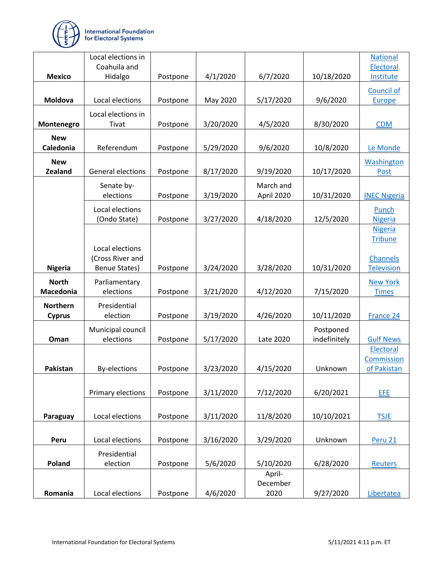

|                                  | Local elections in<br>Coahuila and |          |           |                         |              | <b>National</b><br>Electoral     |
|----------------------------------|------------------------------------|----------|-----------|-------------------------|--------------|----------------------------------|
| <b>Mexico</b>                    | Hidalgo                            | Postpone | 4/1/2020  | 6/7/2020                | 10/18/2020   | Institute                        |
|                                  |                                    |          |           |                         |              | <b>Council of</b>                |
| Moldova                          | Local elections                    | Postpone | May 2020  | 5/17/2020               | 9/6/2020     | Europe                           |
|                                  | Local elections in                 |          |           |                         |              |                                  |
| Montenegro                       | Tivat                              | Postpone | 3/20/2020 | 4/5/2020                | 8/30/2020    | <b>CDM</b>                       |
| <b>New</b>                       |                                    |          |           |                         |              |                                  |
| Caledonia                        | Referendum                         | Postpone | 5/29/2020 | 9/6/2020                | 10/8/2020    | Le Monde                         |
| <b>New</b><br><b>Zealand</b>     | General elections                  |          | 8/17/2020 | 9/19/2020               | 10/17/2020   | <b>Washington</b><br><b>Post</b> |
|                                  |                                    | Postpone |           |                         |              |                                  |
|                                  | Senate by-<br>elections            | Postpone | 3/19/2020 | March and<br>April 2020 | 10/31/2020   | <b>INEC Nigeria</b>              |
|                                  | Local elections                    |          |           |                         |              | Punch                            |
|                                  | (Ondo State)                       | Postpone | 3/27/2020 | 4/18/2020               | 12/5/2020    | <b>Nigeria</b>                   |
|                                  |                                    |          |           |                         |              | <b>Nigeria</b>                   |
|                                  | Local elections                    |          |           |                         |              | <b>Tribune</b>                   |
|                                  | (Cross River and                   |          |           |                         |              | <b>Channels</b>                  |
| <b>Nigeria</b>                   | <b>Benue States)</b>               | Postpone | 3/24/2020 | 3/28/2020               | 10/31/2020   | <b>Television</b>                |
| <b>North</b>                     | Parliamentary                      |          |           |                         |              | <b>New York</b>                  |
| Macedonia                        | elections                          | Postpone | 3/21/2020 | 4/12/2020               | 7/15/2020    | <b>Times</b>                     |
| <b>Northern</b><br><b>Cyprus</b> | Presidential<br>election           | Postpone | 3/19/2020 | 4/26/2020               | 10/11/2020   | France 24                        |
|                                  |                                    |          |           |                         | Postponed    |                                  |
| Oman                             | Municipal council<br>elections     | Postpone | 5/17/2020 | Late 2020               | indefinitely | <b>Gulf News</b>                 |
|                                  |                                    |          |           |                         |              | Electoral                        |
|                                  |                                    |          |           |                         |              | Commission                       |
| <b>Pakistan</b>                  | <b>By-elections</b>                | Postpone | 3/23/2020 | 4/15/2020               | Unknown      | of Pakistan                      |
|                                  | Primary elections                  |          | 3/11/2020 | 7/12/2020               | 6/20/2021    | EFE                              |
|                                  |                                    | Postpone |           |                         |              |                                  |
| Paraguay                         | Local elections                    | Postpone | 3/11/2020 | 11/8/2020               | 10/10/2021   | <b>TSJE</b>                      |
|                                  |                                    |          |           |                         |              |                                  |
| Peru                             | Local elections                    | Postpone | 3/16/2020 | 3/29/2020               | Unknown      | Peru 21                          |
|                                  | Presidential                       |          |           |                         |              |                                  |
| Poland                           | election                           | Postpone | 5/6/2020  | 5/10/2020               | 6/28/2020    | <b>Reuters</b>                   |
|                                  |                                    |          |           | April-<br>December      |              |                                  |
| Romania                          | Local elections                    | Postpone | 4/6/2020  | 2020                    | 9/27/2020    | Libertatea                       |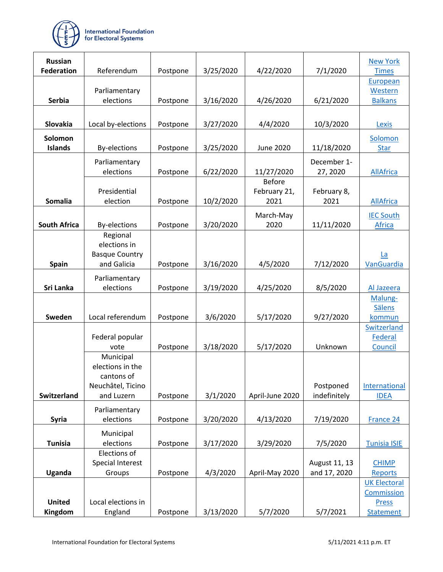

| <b>Russian</b>      |                                 |          |           |                   |               | <b>New York</b>            |
|---------------------|---------------------------------|----------|-----------|-------------------|---------------|----------------------------|
| <b>Federation</b>   | Referendum                      | Postpone | 3/25/2020 | 4/22/2020         | 7/1/2020      | <b>Times</b>               |
|                     |                                 |          |           |                   |               | European                   |
|                     | Parliamentary                   |          |           |                   |               | Western                    |
| <b>Serbia</b>       | elections                       | Postpone | 3/16/2020 | 4/26/2020         | 6/21/2020     | <b>Balkans</b>             |
|                     |                                 |          |           |                   |               |                            |
| Slovakia            | Local by-elections              | Postpone | 3/27/2020 | 4/4/2020          | 10/3/2020     | Lexis                      |
| Solomon             |                                 |          |           |                   |               | Solomon                    |
| <b>Islands</b>      | <b>By-elections</b>             | Postpone | 3/25/2020 | <b>June 2020</b>  | 11/18/2020    | <b>Star</b>                |
|                     | Parliamentary                   |          |           |                   | December 1-   |                            |
|                     | elections                       | Postpone | 6/22/2020 | 11/27/2020        | 27, 2020      | <b>AllAfrica</b>           |
|                     |                                 |          |           | <b>Before</b>     |               |                            |
|                     | Presidential                    |          |           | February 21,      | February 8,   |                            |
| <b>Somalia</b>      | election                        | Postpone | 10/2/2020 | 2021              | 2021          | <b>AllAfrica</b>           |
|                     |                                 |          |           |                   |               |                            |
| <b>South Africa</b> |                                 |          | 3/20/2020 | March-May<br>2020 |               | <b>IEC South</b><br>Africa |
|                     | <b>By-elections</b><br>Regional | Postpone |           |                   | 11/11/2020    |                            |
|                     | elections in                    |          |           |                   |               |                            |
|                     | <b>Basque Country</b>           |          |           |                   |               | La                         |
| <b>Spain</b>        | and Galicia                     | Postpone | 3/16/2020 | 4/5/2020          | 7/12/2020     | VanGuardia                 |
|                     |                                 |          |           |                   |               |                            |
|                     | Parliamentary                   |          |           |                   |               |                            |
| Sri Lanka           | elections                       | Postpone | 3/19/2020 | 4/25/2020         | 8/5/2020      | Al Jazeera                 |
|                     |                                 |          |           |                   |               | Malung-<br><b>Sälens</b>   |
| Sweden              | Local referendum                | Postpone | 3/6/2020  | 5/17/2020         | 9/27/2020     | kommun                     |
|                     |                                 |          |           |                   |               | Switzerland                |
|                     | Federal popular                 |          |           |                   |               | Federal                    |
|                     | vote                            | Postpone | 3/18/2020 | 5/17/2020         | Unknown       | Council                    |
|                     | Municipal                       |          |           |                   |               |                            |
|                     | elections in the                |          |           |                   |               |                            |
|                     | cantons of                      |          |           |                   |               |                            |
|                     | Neuchâtel, Ticino               |          |           |                   | Postponed     | International              |
| <b>Switzerland</b>  | and Luzern                      | Postpone | 3/1/2020  | April-June 2020   | indefinitely  | <b>IDEA</b>                |
|                     | Parliamentary                   |          |           |                   |               |                            |
| <b>Syria</b>        | elections                       | Postpone | 3/20/2020 | 4/13/2020         | 7/19/2020     | France 24                  |
|                     | Municipal                       |          |           |                   |               |                            |
| <b>Tunisia</b>      | elections                       | Postpone | 3/17/2020 | 3/29/2020         | 7/5/2020      | <b>Tunisia ISIE</b>        |
|                     | Elections of                    |          |           |                   |               |                            |
|                     | Special Interest                |          |           |                   | August 11, 13 | <b>CHIMP</b>               |
| Uganda              | Groups                          | Postpone | 4/3/2020  | April-May 2020    | and 17, 2020  | <b>Reports</b>             |
|                     |                                 |          |           |                   |               | <b>UK Electoral</b>        |
|                     |                                 |          |           |                   |               | Commission                 |
| <b>United</b>       | Local elections in              |          |           |                   |               | <b>Press</b>               |
| Kingdom             | England                         | Postpone | 3/13/2020 | 5/7/2020          | 5/7/2021      | <b>Statement</b>           |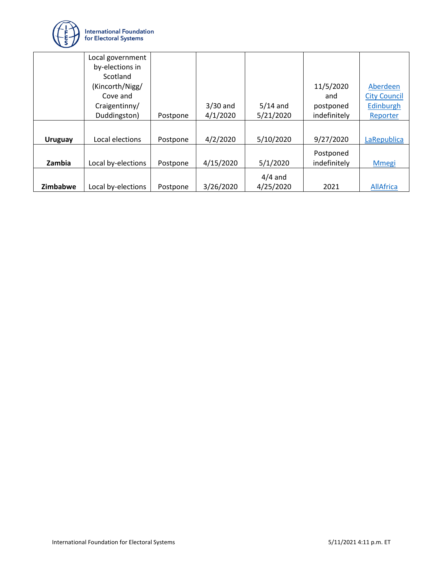

|                | Local government   |          |            |            |              |                     |
|----------------|--------------------|----------|------------|------------|--------------|---------------------|
|                | by-elections in    |          |            |            |              |                     |
|                | Scotland           |          |            |            |              |                     |
|                | (Kincorth/Nigg/    |          |            |            | 11/5/2020    | Aberdeen            |
|                | Cove and           |          |            |            | and          | <b>City Council</b> |
|                | Craigentinny/      |          | $3/30$ and | $5/14$ and | postponed    | Edinburgh           |
|                | Duddingston)       | Postpone | 4/1/2020   | 5/21/2020  | indefinitely | Reporter            |
|                |                    |          |            |            |              |                     |
| <b>Uruguay</b> | Local elections    | Postpone | 4/2/2020   | 5/10/2020  | 9/27/2020    | LaRepublica         |
|                |                    |          |            |            | Postponed    |                     |
| Zambia         | Local by-elections | Postpone | 4/15/2020  | 5/1/2020   | indefinitely | <b>M</b> megi       |
|                |                    |          |            | $4/4$ and  |              |                     |
| Zimbabwe       | Local by-elections | Postpone | 3/26/2020  | 4/25/2020  | 2021         | <b>AllAfrica</b>    |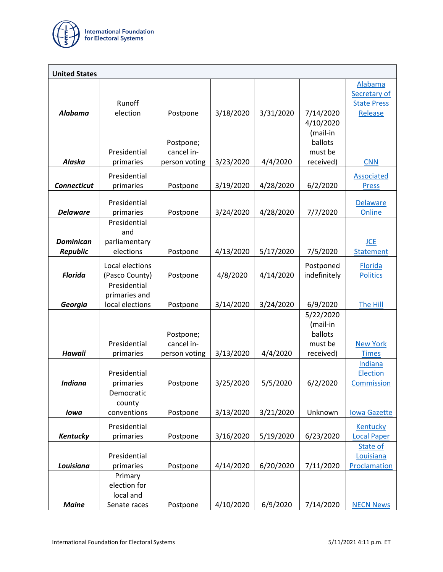

| <b>United States</b> |                       |               |           |           |                       |                                    |
|----------------------|-----------------------|---------------|-----------|-----------|-----------------------|------------------------------------|
|                      |                       |               |           |           |                       | <b>Alabama</b>                     |
|                      | Runoff                |               |           |           |                       | Secretary of<br><b>State Press</b> |
| Alabama              | election              | Postpone      | 3/18/2020 | 3/31/2020 | 7/14/2020             | Release                            |
|                      |                       |               |           |           | 4/10/2020             |                                    |
|                      |                       |               |           |           | (mail-in              |                                    |
|                      |                       | Postpone;     |           |           | ballots               |                                    |
|                      | Presidential          | cancel in-    |           |           | must be               |                                    |
| <b>Alaska</b>        | primaries             | person voting | 3/23/2020 | 4/4/2020  | received)             | <b>CNN</b>                         |
|                      | Presidential          |               |           |           |                       | Associated                         |
| <b>Connecticut</b>   | primaries             | Postpone      | 3/19/2020 | 4/28/2020 | 6/2/2020              | <b>Press</b>                       |
|                      | Presidential          |               |           |           |                       | Delaware                           |
| <b>Delaware</b>      | primaries             | Postpone      | 3/24/2020 | 4/28/2020 | 7/7/2020              | Online                             |
|                      | Presidential          |               |           |           |                       |                                    |
|                      | and                   |               |           |           |                       |                                    |
| <b>Dominican</b>     | parliamentary         |               |           |           |                       | <b>JCE</b>                         |
| <b>Republic</b>      | elections             | Postpone      | 4/13/2020 | 5/17/2020 | 7/5/2020              | Statement                          |
|                      | Local elections       |               |           |           | Postponed             | Florida                            |
| <b>Florida</b>       | (Pasco County)        | Postpone      | 4/8/2020  | 4/14/2020 | indefinitely          | <b>Politics</b>                    |
|                      | Presidential          |               |           |           |                       |                                    |
|                      | primaries and         |               |           |           |                       |                                    |
| Georgia              | local elections       | Postpone      | 3/14/2020 | 3/24/2020 | 6/9/2020              | The Hill                           |
|                      |                       |               |           |           | 5/22/2020<br>(mail-in |                                    |
|                      |                       | Postpone;     |           |           | ballots               |                                    |
|                      | Presidential          | cancel in-    |           |           | must be               | <b>New York</b>                    |
| <b>Hawaii</b>        | primaries             | person voting | 3/13/2020 | 4/4/2020  | received)             | <b>Times</b>                       |
|                      |                       |               |           |           |                       | Indiana                            |
|                      | Presidential          |               |           |           |                       | Election                           |
| <b>Indiana</b>       | primaries             | Postpone      | 3/25/2020 | 5/5/2020  | 6/2/2020              | Commission                         |
|                      | Democratic            |               |           |           |                       |                                    |
| lowa                 | county<br>conventions | Postpone      | 3/13/2020 | 3/21/2020 | Unknown               | <b>lowa Gazette</b>                |
|                      |                       |               |           |           |                       |                                    |
|                      | Presidential          |               |           |           |                       | Kentucky                           |
| Kentucky             | primaries             | Postpone      | 3/16/2020 | 5/19/2020 | 6/23/2020             | <b>Local Paper</b>                 |
|                      | Presidential          |               |           |           |                       | State of<br>Louisiana              |
| Louisiana            | primaries             | Postpone      | 4/14/2020 | 6/20/2020 | 7/11/2020             | Proclamation                       |
|                      | Primary               |               |           |           |                       |                                    |
|                      | election for          |               |           |           |                       |                                    |
|                      | local and             |               |           |           |                       |                                    |
| <b>Maine</b>         | Senate races          | Postpone      | 4/10/2020 | 6/9/2020  | 7/14/2020             | <b>NECN News</b>                   |